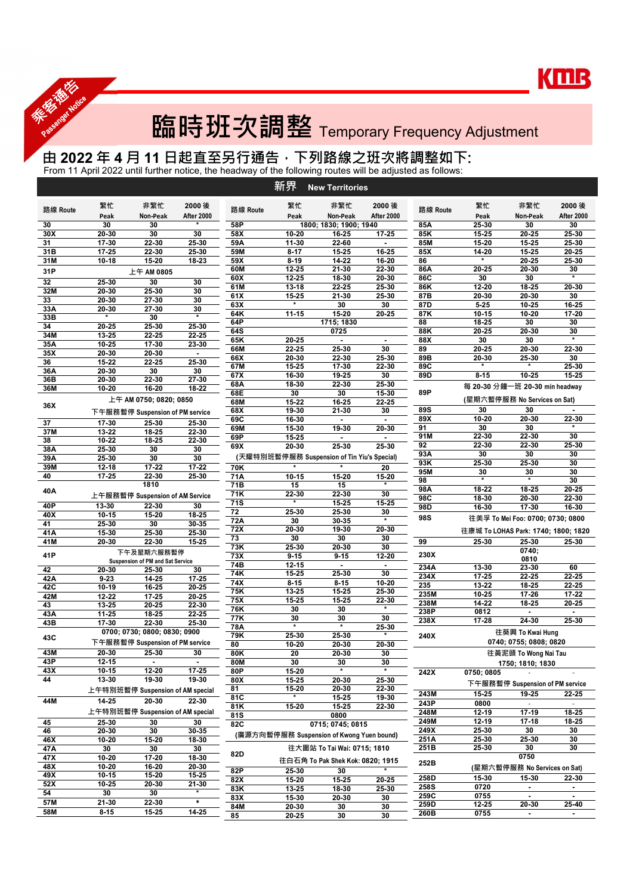

## 臨時班次調整 Temporary Frequency Adjustment

## 由 2022 年 4 月 11 日起直至另行通告<sup>,</sup>下列路線之班次將調整如下:

From 11 April 2022 until further notice, the headway of the following routes will be adjusted as follows:

|            |                        |                                         |                |            | 新界                 | <b>New Territories</b>                      |                |              |                |                                     |                |
|------------|------------------------|-----------------------------------------|----------------|------------|--------------------|---------------------------------------------|----------------|--------------|----------------|-------------------------------------|----------------|
| 路線 Route   | 繁忙                     | 非繁忙                                     | 2000 後         | 路線 Route   | 繁忙                 | 非繁忙                                         | 2000 後         | 路線 Route     | 繁忙             | 非繁忙                                 | 2000 後         |
|            | Peak                   | Non-Peak                                | After 2000     |            | Peak               | Non-Peak                                    | After 2000     |              | Peak           | Non-Peak                            | After 2000     |
| 30<br>30X  | 30<br>20-30            | 30<br>30                                | 30             | 58P<br>58X | 10-20              | 1800; 1830; 1900; 1940<br>16-25             | $17 - 25$      | 85A<br>85K   | 25-30<br>15-25 | 30<br>20-25                         | 30<br>25-30    |
| 31         | 17-30                  | 22-30                                   | 25-30          | 59A        | 11-30              | 22-60                                       | $\sim$         | 85M          | 15-20          | $15 - 25$                           | 25-30          |
| 31B        | 17-25                  | 22-30                                   | 25-30          | 59M        | $8 - 17$           | 15-25                                       | 16-25          | 85X          | 14-20          | $15 - 25$                           | 20-25          |
| 31M        | $10 - 18$              | 15-20                                   | 18-23          | 59X        | $8 - 19$           | 14-22                                       | 16-20          | 86           | $\star$        | 20-25                               | 25-30          |
| 31P        |                        | 上午 AM 0805                              |                | 60M        | $12 - 25$          | 21-30                                       | 22-30          | 86A          | $20 - 25$      | 20-30                               | 30<br>$\star$  |
| 32         | 25-30                  | 30                                      | 30             | 60X<br>61M | $12 - 25$<br>13-18 | 18-30<br>22-25                              | 20-30<br>25-30 | 86C<br>86K   | 30<br>12-20    | 30<br>18-25                         | 20-30          |
| 32M        | 20-30                  | 25-30                                   | 30             | 61X        | 15-25              | 21-30                                       | 25-30          | 87B          | 20-30          | 20-30                               | 30             |
| 33         | 20-30                  | 27-30                                   | 30             | 63X        | $\star$            | 30                                          | 30             | 87D          | $5 - 25$       | 10-25                               | 16-25          |
| 33A<br>33B | 20-30<br>$\star$       | 27-30<br>30                             | 30<br>$\star$  | 64K        | $11 - 15$          | 15-20                                       | 20-25          | 87K          | $10 - 15$      | 10-20                               | 17-20          |
| 34         | 20-25                  | 25-30                                   | 25-30          | 64P        |                    | 1715; 1830                                  |                | 88           | 18-25          | 30                                  | 30             |
| 34M        | 13-25                  | 22-25                                   | 22-25          | 64S        |                    | 0725                                        |                | 88K          | 20-25          | 20-30                               | 30<br>$\star$  |
| 35A        | 10-25                  | 17-30                                   | 23-30          | 65K<br>66M | 20-25<br>22-25     | $\sim$<br>25-30                             | $\sim$<br>30   | 88X<br>89    | 30<br>20-25    | 30<br>20-30                         | 22-30          |
| 35X        | 20-30                  | 20-30                                   | $\sim$         | 66X        | 20-30              | 22-30                                       | 25-30          | 89B          | 20-30          | 25-30                               | 30             |
| 36         | 15-22                  | 22-25                                   | 25-30          | 67M        | 15-25              | 17-30                                       | 22-30          | 89C          |                | $\star$                             | 25-30          |
| 36A<br>36B | 20-30<br>20-30         | 30<br>22-30                             | 30<br>27-30    | 67X        | 16-30              | 19-25                                       | 30             | 89D          | $8 - 15$       | 10-25                               | 15-25          |
| 36M        | 10-20                  | 16-20                                   | 18-22          | 68A        | 18-30              | 22-30                                       | 25-30          |              |                | 每 20-30 分鐘一班 20-30 min headway      |                |
|            |                        |                                         |                | 68E<br>68M | 30                 | 30                                          | 15-30          | 89P          |                | (星期六暫停服務 No Services on Sat)        |                |
| 36X        | 上午 AM 0750; 0820; 0850 |                                         |                |            | $15 - 22$          | 16-25                                       | 22-25          | 89S          | 30             |                                     | $\sim$         |
|            |                        | 下午服務暫停 Suspension of PM service         |                | 68X<br>69C | 19-30<br>16-30     | 21-30<br>$\sim$                             | 30<br>$\sim$   | 89X          | 10-20          | 30<br>20-30                         | 22-30          |
| 37         | 17-30                  | 25-30                                   | 25-30          | 69M        | 15-30              | 19-30                                       | 20-30          | 91           | 30             | 30                                  | $\star$        |
| 37M<br>38  | 13-22<br>10-22         | 18-25<br>18-25                          | 22-30<br>22-30 | 69P        | $15 - 25$          | $\sim$                                      | $\sim$         | 91M          | 22-30          | 22-30                               | 30             |
| 38A        | 25-30                  | 30                                      | 30             | 69X        | 20-30              | 25-30                                       | 25-30          | 92           | 22-30          | 22-30                               | 25-30          |
| 39A        | 25-30                  | 30                                      | 30             |            |                    | (天耀特別班暫停服務 Suspension of Tin Yiu's Special) |                | 93A          | 30             | 30                                  | 30             |
| 39M        | 12-18                  | 17-22                                   | 17-22          | 70K        |                    | $\star$                                     | 20             | 93K          | 25-30          | 25-30                               | 30             |
| 40         | 17-25                  | 22-30                                   | 25-30          | 71A        | $10 - 15$          | 15-20                                       | 15-20          | 95M<br>98    | 30<br>$\star$  | 30<br>$\star$                       | 30<br>30       |
|            |                        | 1810                                    |                | 71B        | 15                 | 15                                          |                | 98A          | 18-22          | 18-25                               | 20-25          |
| 40A        |                        | 上午服務暫停 Suspension of AM Service         |                | 71K        | 22-30              | 22-30                                       | 30             | 98C          | 18-30          | 20-30                               | 22-30          |
| 40P        | 13-30                  | 22-30                                   | 30             | 71S        | $\star$            | 15-25                                       | 15-25          | 98D          | 16-30          | 17-30                               | 16-30          |
| 40X        | $10 - 15$              | 15-20                                   | 18-25          | 72         | 25-30              | 25-30                                       | 30<br>$\ast$   | 98S          |                | 往美孚 To Mei Foo: 0700; 0730; 0800    |                |
| 41         | 25-30                  | 30                                      | 30-35          | 72A        | 30<br>20-30        | 30-35                                       |                |              |                |                                     |                |
| 41A        | 15-30                  | 25-30                                   | 25-30          | 72X<br>73  | 30                 | 19-30<br>30                                 | 20-30<br>30    |              |                | 往康城 To LOHAS Park: 1740; 1800; 1820 |                |
| 41M        | 20-30                  | 22-30                                   | 15-25          | 73K        | 25-30              | 20-30                                       | 30             | 99           | 25-30          | 25-30                               | 25-30          |
| 41P        |                        | 下午及星期六服務暫停                              |                | 73X        | $9 - 15$           | $9 - 15$                                    | 12-20          | 230X         |                | 0740;<br>0810                       |                |
|            |                        | <b>Suspension of PM and Sat Service</b> |                | 74B        | $12 - 15$          | $\sim$                                      | $\sim$         | 234A         | 13-30          | 23-30                               | 60             |
| 42<br>42A  | 20-30<br>$9 - 23$      | 25-30<br>14-25                          | 30<br>17-25    | 74K        | 15-25              | 25-30                                       | 30             | 234X         | 17-25          | 22-25                               | 22-25          |
| 42C        | 10-19                  | 16-25                                   | 20-25          | 74X        | $8 - 15$           | $8 - 15$                                    | 10-20          | 235          | $13 - 22$      | 18-25                               | 22-25          |
| 42M        | 12-22                  | 17-25                                   | 20-25          | 75K        | 13-25              | 15-25                                       | 25-30          | 235M         | 10-25          | 17-26                               | 17-22          |
| 43         | 13-25                  | 20-25                                   | 22-30          | 75X<br>76K | 15-25<br>30        | 15-25<br>30                                 | 22-30          | 238M         | 14-22          | 18-25                               | 20-25          |
| 43A        | 11-25                  | 18-25                                   | 22-25          | 77K        | 30                 | 30                                          | 30             | 238P         | 0812           |                                     | $\blacksquare$ |
| 43B        | 17-30                  | 22-30                                   | 25-30          | 78A        | $\star$            | $\star$                                     | 25-30          | 238X         | 17-28          | 24-30                               | 25-30          |
| 43C        |                        | 0700; 0730; 0800; 0830; 0900            |                | 79K        | 25-30              | 25-30                                       | $\star$        | 240X         |                | 往葵興 To Kwai Hung                    |                |
|            |                        | 下午服務暫停 Suspension of PM service         |                | 80         | $10 - 20$          | 20-30                                       | 20-30          |              |                | 0740; 0755; 0808; 0820              |                |
| 43M        | 20-30                  | 25-30                                   | 30             | 80K        | 20                 | 20-30                                       | 30             |              |                | 往黃泥頭 To Wong Nai Tau                |                |
| 43P        | $12 - 15$              | $\sim$                                  | $\sim$         | <b>80M</b> | 30                 | 30                                          | 30             |              |                | 1750; 1810; 1830                    |                |
| 43X<br>44  | 10-15                  | 12-20                                   | $17 - 25$      | 80P        | 15-20              | $\star$                                     | $\star$        | 242X         | 0750: 0805     |                                     |                |
|            | 13-30                  | 19-30                                   | 19-30          | 80X<br>81  | 15-25              | 20-30<br>20-30                              | 25-30<br>22-30 |              |                | 下午服務暫停 Suspension of PM service     |                |
|            |                        | 上午特別班暫停 Suspension of AM special        |                | 81C        | 15-20<br>$\star$   | 15-25                                       | 19-30          | 243M         | 15-25          | 19-25                               | 22-25          |
| 44M        | 14-25                  | 20-30                                   | 22-30          | 81K        | 15-20              | 15-25                                       | 22-30          | 243P         | 0800           | $\sim 10^{-1}$                      | $\sim$         |
|            |                        | 上午特別班暫停 Suspension of AM special        |                | 81S        |                    | 0800                                        |                | 248M         | $12 - 19$      | 17-19                               | 18-25          |
| 45         | 25-30                  | 30                                      | 30             | 82C        |                    | 0715; 0745; 0815                            |                | 249M         | $12 - 19$      | $17-18$                             | 18-25          |
| 46         | 20-30                  | 30                                      | 30-35          |            |                    | (廣源方向暫停服務 Suspension of Kwong Yuen bound)   |                | 249X         | 25-30          | 30                                  | 30             |
| 46X        | $10 - 20$              | 15-20                                   | 18-30          |            |                    | 往大圍站 To Tai Wai: 0715; 1810                 |                | 251A<br>251B | 25-30<br>25-30 | 25-30<br>30                         | 30<br>30       |
| 47A<br>47X | 30<br>10-20            | 30<br>17-20                             | 30<br>18-30    | 82D        |                    |                                             |                |              |                | 0750                                |                |
| 48X        | $10 - 20$              | 16-20                                   | 20-30          |            |                    | 往白石角 To Pak Shek Kok: 0820; 1915            |                | 252B         |                | (星期六暫停服務 No Services on Sat)        |                |
| 49X        | $10 - 15$              | 15-20                                   | 15-25          | 82P        | 25-30              | 30                                          |                | 258D         | 15-30          | 15-30                               | 22-30          |
| 52X        | 10-25                  | 20-30                                   | 21-30          | 82X<br>83K | 15-20<br>13-25     | 15-25<br>18-30                              | 20-25<br>25-30 | <b>258S</b>  | 0720           | $\sim$                              | $\sim$         |
| 54         | 30                     | 30                                      | $\star$        | 83X        | 15-30              | 20-30                                       | 30             | 259C         | 0755           | $\sim$                              | $\sim$ $-$     |
| 57M        | 21-30                  | 22-30                                   | $\star$        | 84M        | 20-30              | 30                                          | 30             | 259D         | 12-25          | 20-30                               | 25-40          |
| 58M        | $8 - 15$               | $15 - 25$                               | 14-25          | 85         | 20-25              | 30                                          | 30             | 260B         | 0755           | $\sim$                              | $\sim$ $-$     |